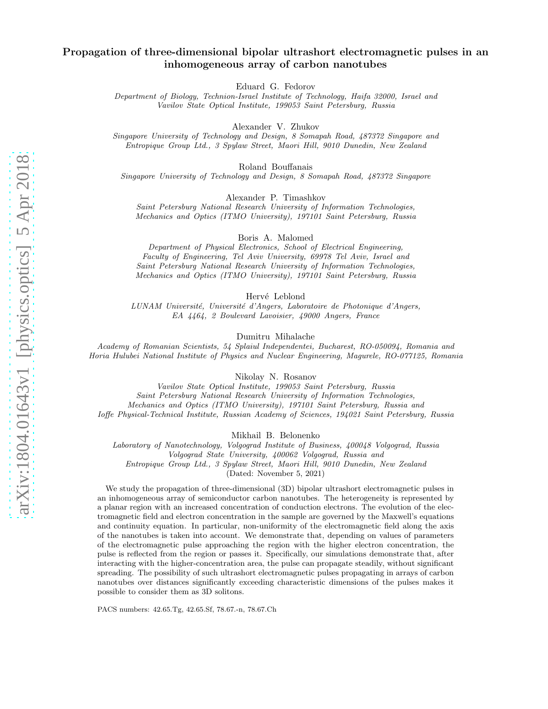# Propagation of three-dimensional bipolar ultrashort electromagnetic pulses in an inhomogeneous array of carbon nanotubes

Eduard G. Fedorov

Department of Biology, Technion-Israel Institute of Technology, Haifa 32000, Israel and Vavilov State Optical Institute, 199053 Saint Petersburg, Russia

Alexander V. Zhukov

Singapore University of Technology and Design, 8 Somapah Road, 487372 Singapore and Entropique Group Ltd., 3 Spylaw Street, Maori Hill, 9010 Dunedin, New Zealand

Roland Bouffanais

Singapore University of Technology and Design, 8 Somapah Road, 487372 Singapore

Alexander P. Timashkov

Saint Petersburg National Research University of Information Technologies, Mechanics and Optics (ITMO University), 197101 Saint Petersburg, Russia

Boris A. Malomed

Department of Physical Electronics, School of Electrical Engineering, Faculty of Engineering, Tel Aviv University, 69978 Tel Aviv, Israel and Saint Petersburg National Research University of Information Technologies, Mechanics and Optics (ITMO University), 197101 Saint Petersburg, Russia

Hervé Leblond

LUNAM Université, Université d'Angers, Laboratoire de Photonique d'Angers, EA 4464, 2 Boulevard Lavoisier, 49000 Angers, France

Dumitru Mihalache

Academy of Romanian Scientists, 54 Splaiul Independentei, Bucharest, RO-050094, Romania and Horia Hulubei National Institute of Physics and Nuclear Engineering, Magurele, RO-077125, Romania

Nikolay N. Rosanov

Vavilov State Optical Institute, 199053 Saint Petersburg, Russia Saint Petersburg National Research University of Information Technologies, Mechanics and Optics (ITMO University), 197101 Saint Petersburg, Russia and Ioffe Physical-Technical Institute, Russian Academy of Sciences, 194021 Saint Petersburg, Russia

Mikhail B. Belonenko

Laboratory of Nanotechnology, Volgograd Institute of Business, 400048 Volgograd, Russia Volgograd State University, 400062 Volgograd, Russia and Entropique Group Ltd., 3 Spylaw Street, Maori Hill, 9010 Dunedin, New Zealand (Dated: November 5, 2021)

We study the propagation of three-dimensional (3D) bipolar ultrashort electromagnetic pulses in an inhomogeneous array of semiconductor carbon nanotubes. The heterogeneity is represented by a planar region with an increased concentration of conduction electrons. The evolution of the electromagnetic field and electron concentration in the sample are governed by the Maxwell's equations and continuity equation. In particular, non-uniformity of the electromagnetic field along the axis of the nanotubes is taken into account. We demonstrate that, depending on values of parameters of the electromagnetic pulse approaching the region with the higher electron concentration, the pulse is reflected from the region or passes it. Specifically, our simulations demonstrate that, after interacting with the higher-concentration area, the pulse can propagate steadily, without significant spreading. The possibility of such ultrashort electromagnetic pulses propagating in arrays of carbon nanotubes over distances significantly exceeding characteristic dimensions of the pulses makes it possible to consider them as 3D solitons.

PACS numbers: 42.65.Tg, 42.65.Sf, 78.67.-n, 78.67.Ch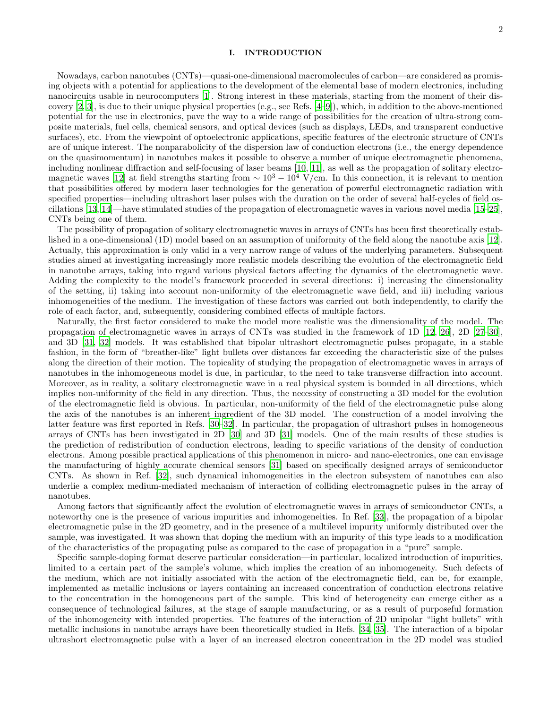#### I. INTRODUCTION

Nowadays, carbon nanotubes (CNTs)—quasi-one-dimensional macromolecules of carbon—are considered as promising objects with a potential for applications to the development of the elemental base of modern electronics, including nanocircuits usable in neurocomputers [\[1](#page-14-0)]. Strong interest in these materials, starting from the moment of their discovery  $[2, 3]$  $[2, 3]$  $[2, 3]$ , is due to their unique physical properties (e.g., see Refs.  $[4-9]$ ), which, in addition to the above-mentioned potential for the use in electronics, pave the way to a wide range of possibilities for the creation of ultra-strong composite materials, fuel cells, chemical sensors, and optical devices (such as displays, LEDs, and transparent conductive surfaces), etc. From the viewpoint of optoelectronic applications, specific features of the electronic structure of CNTs are of unique interest. The nonparabolicity of the dispersion law of conduction electrons (i.e., the energy dependence on the quasimomentum) in nanotubes makes it possible to observe a number of unique electromagnetic phenomena, including nonlinear diffraction and self-focusing of laser beams [\[10,](#page-14-5) [11\]](#page-14-6), as well as the propagation of solitary electro-magnetic waves [\[12\]](#page-14-7) at field strengths starting from  $\sim 10^3 - 10^4$  V/cm. In this connection, it is relevant to mention that possibilities offered by modern laser technologies for the generation of powerful electromagnetic radiation with specified properties—including ultrashort laser pulses with the duration on the order of several half-cycles of field oscillations [\[13](#page-14-8), [14\]](#page-14-9)—have stimulated studies of the propagation of electromagnetic waves in various novel media [\[15](#page-14-10)[–25\]](#page-14-11), CNTs being one of them.

The possibility of propagation of solitary electromagnetic waves in arrays of CNTs has been first theoretically established in a one-dimensional (1D) model based on an assumption of uniformity of the field along the nanotube axis [\[12\]](#page-14-7). Actually, this approximation is only valid in a very narrow range of values of the underlying parameters. Subsequent studies aimed at investigating increasingly more realistic models describing the evolution of the electromagnetic field in nanotube arrays, taking into regard various physical factors affecting the dynamics of the electromagnetic wave. Adding the complexity to the model's framework proceeded in several directions: i) increasing the dimensionality of the setting, ii) taking into account non-uniformity of the electromagnetic wave field, and iii) including various inhomogeneities of the medium. The investigation of these factors was carried out both independently, to clarify the role of each factor, and, subsequently, considering combined effects of multiple factors.

Naturally, the first factor considered to make the model more realistic was the dimensionality of the model. The propagation of electromagnetic waves in arrays of CNTs was studied in the framework of 1D [\[12,](#page-14-7) [26\]](#page-14-12), 2D [\[27](#page-14-13)[–30\]](#page-14-14), and 3D [\[31,](#page-14-15) [32\]](#page-14-16) models. It was established that bipolar ultrashort electromagnetic pulses propagate, in a stable fashion, in the form of "breather-like" light bullets over distances far exceeding the characteristic size of the pulses along the direction of their motion. The topicality of studying the propagation of electromagnetic waves in arrays of nanotubes in the inhomogeneous model is due, in particular, to the need to take transverse diffraction into account. Moreover, as in reality, a solitary electromagnetic wave in a real physical system is bounded in all directions, which implies non-uniformity of the field in any direction. Thus, the necessity of constructing a 3D model for the evolution of the electromagnetic field is obvious. In particular, non-uniformity of the field of the electromagnetic pulse along the axis of the nanotubes is an inherent ingredient of the 3D model. The construction of a model involving the latter feature was first reported in Refs. [\[30](#page-14-14)[–32\]](#page-14-16). In particular, the propagation of ultrashort pulses in homogeneous arrays of CNTs has been investigated in 2D [\[30](#page-14-14)] and 3D [\[31\]](#page-14-15) models. One of the main results of these studies is the prediction of redistribution of conduction electrons, leading to specific variations of the density of conduction electrons. Among possible practical applications of this phenomenon in micro- and nano-electronics, one can envisage the manufacturing of highly accurate chemical sensors [\[31\]](#page-14-15) based on specifically designed arrays of semiconductor CNTs. As shown in Ref. [\[32\]](#page-14-16), such dynamical inhomogeneities in the electron subsystem of nanotubes can also underlie a complex medium-mediated mechanism of interaction of colliding electromagnetic pulses in the array of nanotubes.

Among factors that significantly affect the evolution of electromagnetic waves in arrays of semiconductor CNTs, a noteworthy one is the presence of various impurities and inhomogeneities. In Ref. [\[33](#page-14-17)], the propagation of a bipolar electromagnetic pulse in the 2D geometry, and in the presence of a multilevel impurity uniformly distributed over the sample, was investigated. It was shown that doping the medium with an impurity of this type leads to a modification of the characteristics of the propagating pulse as compared to the case of propagation in a "pure" sample.

Specific sample-doping format deserve particular consideration—in particular, localized introduction of impurities, limited to a certain part of the sample's volume, which implies the creation of an inhomogeneity. Such defects of the medium, which are not initially associated with the action of the electromagnetic field, can be, for example, implemented as metallic inclusions or layers containing an increased concentration of conduction electrons relative to the concentration in the homogeneous part of the sample. This kind of heterogeneity can emerge either as a consequence of technological failures, at the stage of sample manufacturing, or as a result of purposeful formation of the inhomogeneity with intended properties. The features of the interaction of 2D unipolar "light bullets" with metallic inclusions in nanotube arrays have been theoretically studied in Refs. [\[34](#page-14-18), [35\]](#page-14-19). The interaction of a bipolar ultrashort electromagnetic pulse with a layer of an increased electron concentration in the 2D model was studied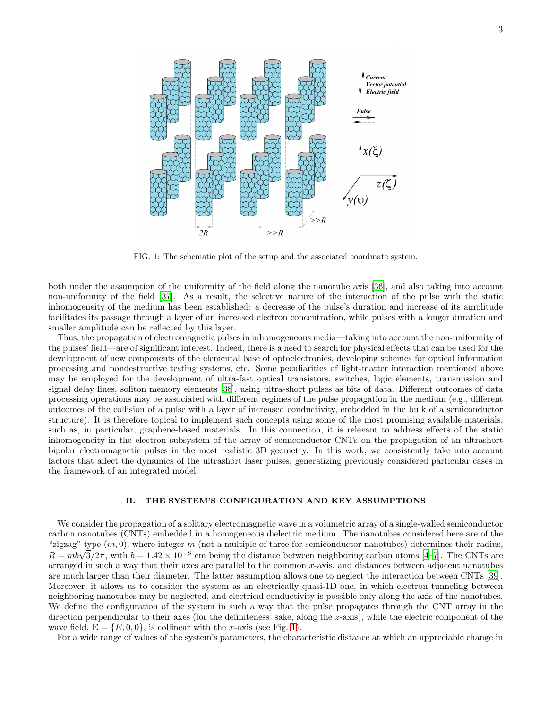

<span id="page-2-0"></span>FIG. 1: The schematic plot of the setup and the associated coordinate system.

both under the assumption of the uniformity of the field along the nanotube axis [\[36\]](#page-14-20), and also taking into account non-uniformity of the field [\[37\]](#page-14-21). As a result, the selective nature of the interaction of the pulse with the static inhomogeneity of the medium has been established: a decrease of the pulse's duration and increase of its amplitude facilitates its passage through a layer of an increased electron concentration, while pulses with a longer duration and smaller amplitude can be reflected by this layer.

Thus, the propagation of electromagnetic pulses in inhomogeneous media—taking into account the non-uniformity of the pulses' field—are of significant interest. Indeed, there is a need to search for physical effects that can be used for the development of new components of the elemental base of optoelectronics, developing schemes for optical information processing and nondestructive testing systems, etc. Some peculiarities of light-matter interaction mentioned above may be employed for the development of ultra-fast optical transistors, switches, logic elements, transmission and signal delay lines, soliton memory elements [\[38](#page-14-22)], using ultra-short pulses as bits of data. Different outcomes of data processing operations may be associated with different regimes of the pulse propagation in the medium (e.g., different outcomes of the collision of a pulse with a layer of increased conductivity, embedded in the bulk of a semiconductor structure). It is therefore topical to implement such concepts using some of the most promising available materials, such as, in particular, graphene-based materials. In this connection, it is relevant to address effects of the static inhomogeneity in the electron subsystem of the array of semiconductor CNTs on the propagation of an ultrashort bipolar electromagnetic pulses in the most realistic 3D geometry. In this work, we consistently take into account factors that affect the dynamics of the ultrashort laser pulses, generalizing previously considered particular cases in the framework of an integrated model.

### II. THE SYSTEM'S CONFIGURATION AND KEY ASSUMPTIONS

We consider the propagation of a solitary electromagnetic wave in a volumetric array of a single-walled semiconductor carbon nanotubes (CNTs) embedded in a homogeneous dielectric medium. The nanotubes considered here are of the "zigzag" type  $(m, 0)$ , where integer m (not a multiple of three for semiconductor nanotubes) determines their radius,  $R = mb\sqrt{3}/2\pi$ , with  $b = 1.42 \times 10^{-8}$  cm being the distance between neighboring carbon atoms [\[4](#page-14-3)[–7](#page-14-23)]. The CNTs are arranged in such a way that their axes are parallel to the common  $x$ -axis, and distances between adjacent nanotubes are much larger than their diameter. The latter assumption allows one to neglect the interaction between CNTs [\[39\]](#page-14-24). Moreover, it allows us to consider the system as an electrically quasi-1D one, in which electron tunneling between neighboring nanotubes may be neglected, and electrical conductivity is possible only along the axis of the nanotubes. We define the configuration of the system in such a way that the pulse propagates through the CNT array in the direction perpendicular to their axes (for the definiteness' sake, along the  $z$ -axis), while the electric component of the wave field,  $\mathbf{E} = \{E, 0, 0\}$ , is collinear with the x-axis (see Fig. [1\)](#page-2-0).

For a wide range of values of the system's parameters, the characteristic distance at which an appreciable change in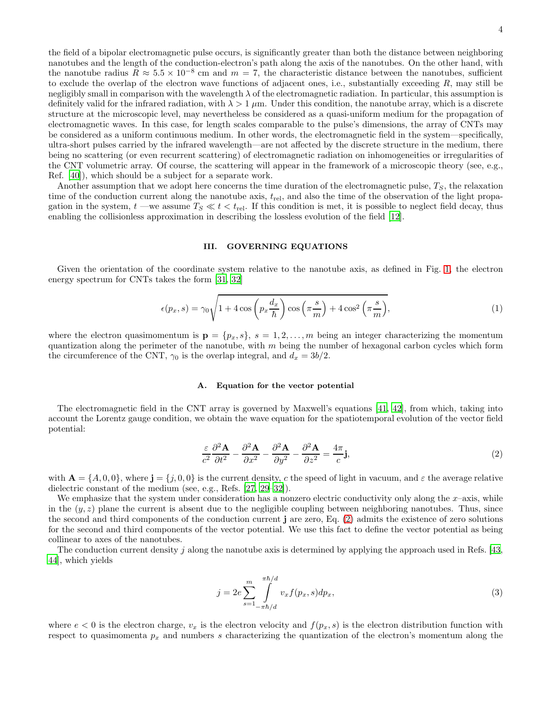the field of a bipolar electromagnetic pulse occurs, is significantly greater than both the distance between neighboring nanotubes and the length of the conduction-electron's path along the axis of the nanotubes. On the other hand, with the nanotube radius  $R \approx 5.5 \times 10^{-8}$  cm and  $m = 7$ , the characteristic distance between the nanotubes, sufficient to exclude the overlap of the electron wave functions of adjacent ones, i.e., substantially exceeding R, may still be negligibly small in comparison with the wavelength  $\lambda$  of the electromagnetic radiation. In particular, this assumption is definitely valid for the infrared radiation, with  $\lambda > 1 \mu m$ . Under this condition, the nanotube array, which is a discrete structure at the microscopic level, may nevertheless be considered as a quasi-uniform medium for the propagation of electromagnetic waves. In this case, for length scales comparable to the pulse's dimensions, the array of CNTs may be considered as a uniform continuous medium. In other words, the electromagnetic field in the system—specifically, ultra-short pulses carried by the infrared wavelength—are not affected by the discrete structure in the medium, there being no scattering (or even recurrent scattering) of electromagnetic radiation on inhomogeneities or irregularities of the CNT volumetric array. Of course, the scattering will appear in the framework of a microscopic theory (see, e.g., Ref. [\[40\]](#page-14-25)), which should be a subject for a separate work.

Another assumption that we adopt here concerns the time duration of the electromagnetic pulse,  $T_S$ , the relaxation time of the conduction current along the nanotube axis,  $t_{rel}$ , and also the time of the observation of the light propagation in the system,  $t$  —we assume  $T_S \ll t < t_{rel}$ . If this condition is met, it is possible to neglect field decay, thus enabling the collisionless approximation in describing the lossless evolution of the field [\[12\]](#page-14-7).

# III. GOVERNING EQUATIONS

Given the orientation of the coordinate system relative to the nanotube axis, as defined in Fig. [1,](#page-2-0) the electron energy spectrum for CNTs takes the form [\[31,](#page-14-15) [32\]](#page-14-16)

<span id="page-3-2"></span>
$$
\epsilon(p_x, s) = \gamma_0 \sqrt{1 + 4 \cos \left(p_x \frac{d_x}{\hbar}\right) \cos \left(\pi \frac{s}{m}\right) + 4 \cos^2 \left(\pi \frac{s}{m}\right)},\tag{1}
$$

where the electron quasimomentum is  $\mathbf{p} = \{p_x, s\}, s = 1, 2, ..., m$  being an integer characterizing the momentum quantization along the perimeter of the nanotube, with  $m$  being the number of hexagonal carbon cycles which form the circumference of the CNT,  $\gamma_0$  is the overlap integral, and  $d_x = 3b/2$ .

# A. Equation for the vector potential

The electromagnetic field in the CNT array is governed by Maxwell's equations [\[41](#page-14-26), [42\]](#page-14-27), from which, taking into account the Lorentz gauge condition, we obtain the wave equation for the spatiotemporal evolution of the vector field potential:

<span id="page-3-0"></span>
$$
\frac{\varepsilon}{c^2} \frac{\partial^2 \mathbf{A}}{\partial t^2} - \frac{\partial^2 \mathbf{A}}{\partial x^2} - \frac{\partial^2 \mathbf{A}}{\partial y^2} - \frac{\partial^2 \mathbf{A}}{\partial z^2} = \frac{4\pi}{c} \mathbf{j},\tag{2}
$$

with  $\mathbf{A} = \{A, 0, 0\}$ , where  $\mathbf{j} = \{j, 0, 0\}$  is the current density, c the speed of light in vacuum, and  $\varepsilon$  the average relative dielectric constant of the medium (see, e.g., Refs. [\[27,](#page-14-13) [29](#page-14-28)[–32\]](#page-14-16)).

We emphasize that the system under consideration has a nonzero electric conductivity only along the  $x$ –axis, while in the  $(y, z)$  plane the current is absent due to the negligible coupling between neighboring nanotubes. Thus, since the second and third components of the conduction current j are zero, Eq. [\(2\)](#page-3-0) admits the existence of zero solutions for the second and third components of the vector potential. We use this fact to define the vector potential as being collinear to axes of the nanotubes.

The conduction current density j along the nanotube axis is determined by applying the approach used in Refs. [\[43](#page-14-29), [44\]](#page-15-0), which yields

<span id="page-3-1"></span>
$$
j = 2e \sum_{s=1}^{m} \int_{-\pi\hbar/d}^{\pi\hbar/d} v_x f(p_x, s) dp_x,
$$
\n(3)

where  $e < 0$  is the electron charge,  $v_x$  is the electron velocity and  $f(p_x, s)$  is the electron distribution function with respect to quasimomenta  $p_x$  and numbers s characterizing the quantization of the electron's momentum along the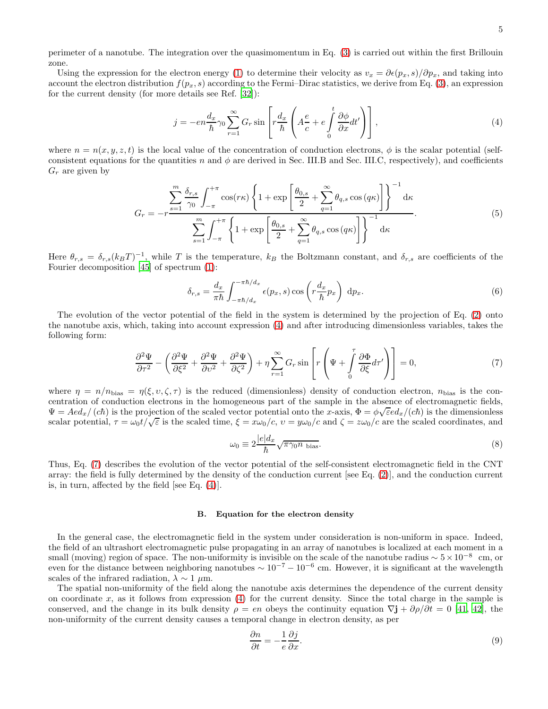perimeter of a nanotube. The integration over the quasimomentum in Eq. [\(3\)](#page-3-1) is carried out within the first Brillouin zone.

Using the expression for the electron energy [\(1\)](#page-3-2) to determine their velocity as  $v_x = \partial \epsilon (p_x, s)/\partial p_x$ , and taking into account the electron distribution  $f(p_x, s)$  according to the Fermi–Dirac statistics, we derive from Eq. [\(3\)](#page-3-1), an expression for the current density (for more details see Ref. [\[32\]](#page-14-16)):

<span id="page-4-0"></span>
$$
j = -en\frac{d_x}{\hbar}\gamma_0 \sum_{r=1}^{\infty} G_r \sin\left[r\frac{d_x}{\hbar}\left(A\frac{e}{c} + e\int_0^t \frac{\partial \phi}{\partial x} dt'\right)\right],\tag{4}
$$

where  $n = n(x, y, z, t)$  is the local value of the concentration of conduction electrons,  $\phi$  is the scalar potential (selfconsistent equations for the quantities n and  $\phi$  are derived in Sec. III.B and Sec. III.C, respectively), and coefficients  $G_r$  are given by

<span id="page-4-3"></span>
$$
G_r = -r \frac{\sum_{s=1}^m \frac{\delta_{r,s}}{\gamma_0} \int_{-\pi}^{+\pi} \cos(r\kappa) \left\{ 1 + \exp\left[\frac{\theta_{0,s}}{2} + \sum_{q=1}^\infty \theta_{q,s} \cos(q\kappa)\right] \right\}^{-1} \mathrm{d}\kappa}{\sum_{s=1}^m \int_{-\pi}^{+\pi} \left\{ 1 + \exp\left[\frac{\theta_{0,s}}{2} + \sum_{q=1}^\infty \theta_{q,s} \cos(q\kappa)\right] \right\}^{-1} \mathrm{d}\kappa}.
$$
 (5)

Here  $\theta_{r,s} = \delta_{r,s}(k_BT)^{-1}$ , while T is the temperature,  $k_B$  the Boltzmann constant, and  $\delta_{r,s}$  are coefficients of the Fourier decomposition [\[45\]](#page-15-1) of spectrum [\(1\)](#page-3-2):

$$
\delta_{r,s} = \frac{d_x}{\pi \hbar} \int_{-\pi \hbar/d_x}^{-\pi \hbar/d_x} \epsilon(p_x, s) \cos\left(r \frac{d_x}{\hbar} p_x\right) dp_x.
$$
\n(6)

The evolution of the vector potential of the field in the system is determined by the projection of Eq. [\(2\)](#page-3-0) onto the nanotube axis, which, taking into account expression [\(4\)](#page-4-0) and after introducing dimensionless variables, takes the following form:

<span id="page-4-1"></span>
$$
\frac{\partial^2 \Psi}{\partial \tau^2} - \left( \frac{\partial^2 \Psi}{\partial \xi^2} + \frac{\partial^2 \Psi}{\partial v^2} + \frac{\partial^2 \Psi}{\partial \zeta^2} \right) + \eta \sum_{r=1}^{\infty} G_r \sin \left[ r \left( \Psi + \int_0^{\tau} \frac{\partial \Phi}{\partial \xi} d\tau' \right) \right] = 0, \tag{7}
$$

where  $\eta = n/n_{\text{bias}} = \eta(\xi, v, \zeta, \tau)$  is the reduced (dimensionless) density of conduction electron,  $n_{\text{bias}}$  is the concentration of conduction electrons in the homogeneous part of the sample in the absence of electromagnetic fields,  $\Psi = A e d_x / (c\hbar)$  is the projection of the scaled vector potential onto the x-axis,  $\Phi = \phi \sqrt{\varepsilon} e d_x / (c\hbar)$  is the dimensionless scalar potential,  $\tau = \omega_0 t/\sqrt{\varepsilon}$  is the scaled time,  $\xi = x\omega_0/c$ ,  $v = y\omega_0/c$  and  $\zeta = z\omega_0/c$  are the scaled coordinates, and

$$
\omega_0 \equiv 2 \frac{|e| d_x}{\hbar} \sqrt{\pi \gamma_0 n_{\text{ bias}}}.\tag{8}
$$

Thus, Eq. [\(7\)](#page-4-1) describes the evolution of the vector potential of the self-consistent electromagnetic field in the CNT array: the field is fully determined by the density of the conduction current [see Eq. [\(2\)](#page-3-0)], and the conduction current is, in turn, affected by the field [see Eq. [\(4\)](#page-4-0)].

#### B. Equation for the electron density

In the general case, the electromagnetic field in the system under consideration is non-uniform in space. Indeed, the field of an ultrashort electromagnetic pulse propagating in an array of nanotubes is localized at each moment in a small (moving) region of space. The non-uniformity is invisible on the scale of the nanotube radius  $\sim 5 \times 10^{-8}$  cm, or even for the distance between neighboring nanotubes  $\sim 10^{-7} - 10^{-6}$  cm. However, it is significant at the wavelength scales of the infrared radiation,  $\lambda \sim 1 \mu m$ .

The spatial non-uniformity of the field along the nanotube axis determines the dependence of the current density on coordinate  $x$ , as it follows from expression  $(4)$  for the current density. Since the total charge in the sample is conserved, and the change in its bulk density  $\rho = en$  obeys the continuity equation  $\nabla \mathbf{j} + \frac{\partial \rho}{\partial t} = 0$  [\[41,](#page-14-26) [42](#page-14-27)], the non-uniformity of the current density causes a temporal change in electron density, as per

<span id="page-4-2"></span>
$$
\frac{\partial n}{\partial t} = -\frac{1}{e} \frac{\partial j}{\partial x}.\tag{9}
$$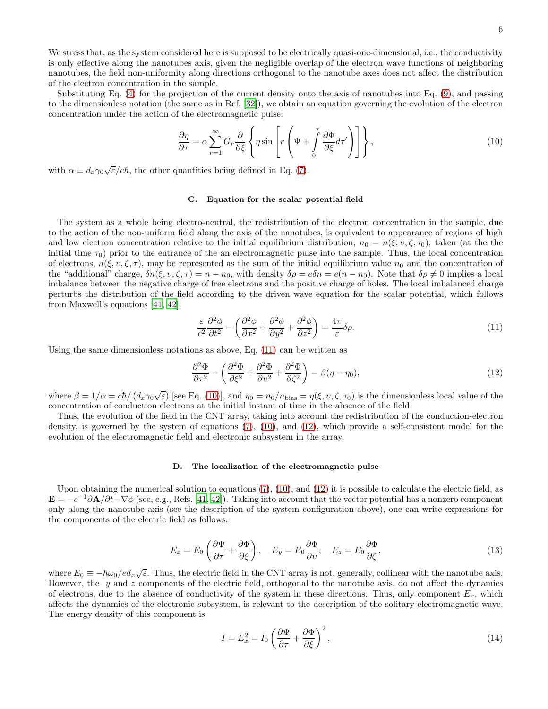We stress that, as the system considered here is supposed to be electrically quasi-one-dimensional, i.e., the conductivity is only effective along the nanotubes axis, given the negligible overlap of the electron wave functions of neighboring nanotubes, the field non-uniformity along directions orthogonal to the nanotube axes does not affect the distribution of the electron concentration in the sample.

Substituting Eq. [\(4\)](#page-4-0) for the projection of the current density onto the axis of nanotubes into Eq. [\(9\)](#page-4-2), and passing to the dimensionless notation (the same as in Ref. [\[32\]](#page-14-16)), we obtain an equation governing the evolution of the electron concentration under the action of the electromagnetic pulse:

<span id="page-5-1"></span>
$$
\frac{\partial \eta}{\partial \tau} = \alpha \sum_{r=1}^{\infty} G_r \frac{\partial}{\partial \xi} \left\{ \eta \sin \left[ r \left( \Psi + \int_{0}^{\tau} \frac{\partial \Phi}{\partial \xi} d\tau' \right) \right] \right\},\tag{10}
$$

with  $\alpha \equiv d_x \gamma_0 \sqrt{\varepsilon}/c\hbar$ , the other quantities being defined in Eq. [\(7\)](#page-4-1).

#### C. Equation for the scalar potential field

The system as a whole being electro-neutral, the redistribution of the electron concentration in the sample, due to the action of the non-uniform field along the axis of the nanotubes, is equivalent to appearance of regions of high and low electron concentration relative to the initial equilibrium distribution,  $n_0 = n(\xi, v, \zeta, \tau_0)$ , taken (at the the initial time  $\tau_0$ ) prior to the entrance of the an electromagnetic pulse into the sample. Thus, the local concentration of electrons,  $n(\xi, v, \zeta, \tau)$ , may be represented as the sum of the initial equilibrium value  $n_0$  and the concentration of the "additional" charge,  $\delta n(\xi, v, \zeta, \tau) = n - n_0$ , with density  $\delta \rho = e \delta n = e(n - n_0)$ . Note that  $\delta \rho \neq 0$  implies a local imbalance between the negative charge of free electrons and the positive charge of holes. The local imbalanced charge perturbs the distribution of the field according to the driven wave equation for the scalar potential, which follows from Maxwell's equations [\[41](#page-14-26), [42](#page-14-27)]:

<span id="page-5-0"></span>
$$
\frac{\varepsilon}{c^2} \frac{\partial^2 \phi}{\partial t^2} - \left( \frac{\partial^2 \phi}{\partial x^2} + \frac{\partial^2 \phi}{\partial y^2} + \frac{\partial^2 \phi}{\partial z^2} \right) = \frac{4\pi}{\varepsilon} \delta \rho.
$$
\n(11)

Using the same dimensionless notations as above, Eq. [\(11\)](#page-5-0) can be written as

<span id="page-5-2"></span>
$$
\frac{\partial^2 \Phi}{\partial \tau^2} - \left( \frac{\partial^2 \Phi}{\partial \xi^2} + \frac{\partial^2 \Phi}{\partial \nu^2} + \frac{\partial^2 \Phi}{\partial \zeta^2} \right) = \beta(\eta - \eta_0),\tag{12}
$$

where  $\beta = 1/\alpha = c\hbar/(d_x \gamma_0 \sqrt{\varepsilon})$  [see Eq. [\(10\)](#page-5-1)], and  $\eta_0 = n_0/n_{\text{bias}} = \eta(\xi, \nu, \zeta, \tau_0)$  is the dimensionless local value of the concentration of conduction electrons at the initial instant of time in the absence of the field.

Thus, the evolution of the field in the CNT array, taking into account the redistribution of the conduction-electron density, is governed by the system of equations [\(7\)](#page-4-1), [\(10\)](#page-5-1), and [\(12\)](#page-5-2), which provide a self-consistent model for the evolution of the electromagnetic field and electronic subsystem in the array.

#### D. The localization of the electromagnetic pulse

Upon obtaining the numerical solution to equations [\(7\)](#page-4-1), [\(10\)](#page-5-1), and [\(12\)](#page-5-2) it is possible to calculate the electric field, as  $\mathbf{E} = -c^{-1}\partial \mathbf{A}/\partial t - \nabla \phi$  (see, e.g., Refs. [\[41,](#page-14-26) [42\]](#page-14-27)). Taking into account that the vector potential has a nonzero component only along the nanotube axis (see the description of the system configuration above), one can write expressions for the components of the electric field as follows:

<span id="page-5-3"></span>
$$
E_x = E_0 \left( \frac{\partial \Psi}{\partial \tau} + \frac{\partial \Phi}{\partial \xi} \right), \quad E_y = E_0 \frac{\partial \Phi}{\partial v}, \quad E_z = E_0 \frac{\partial \Phi}{\partial \zeta}, \tag{13}
$$

where  $E_0 \equiv -\hbar \omega_0 / e d_x \sqrt{\varepsilon}$ . Thus, the electric field in the CNT array is not, generally, collinear with the nanotube axis. However, the  $y$  and  $z$  components of the electric field, orthogonal to the nanotube axis, do not affect the dynamics of electrons, due to the absence of conductivity of the system in these directions. Thus, only component  $E_x$ , which affects the dynamics of the electronic subsystem, is relevant to the description of the solitary electromagnetic wave. The energy density of this component is

<span id="page-5-4"></span>
$$
I = E_x^2 = I_0 \left(\frac{\partial \Psi}{\partial \tau} + \frac{\partial \Phi}{\partial \xi}\right)^2,\tag{14}
$$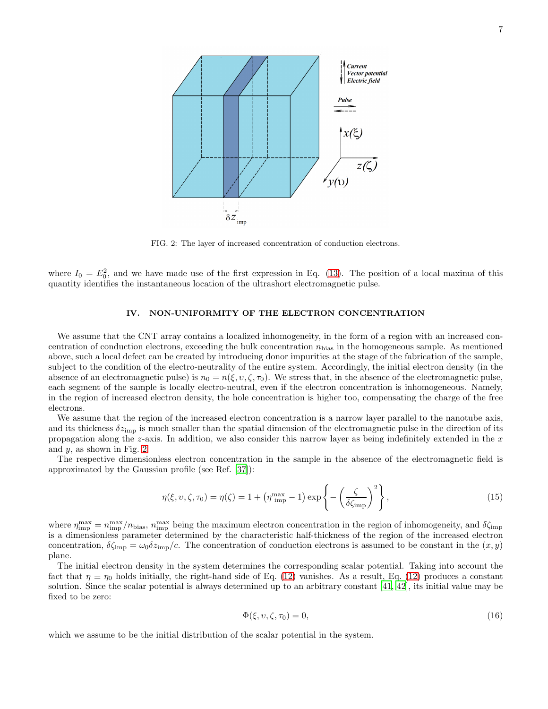

<span id="page-6-0"></span>FIG. 2: The layer of increased concentration of conduction electrons.

where  $I_0 = E_0^2$ , and we have made use of the first expression in Eq. [\(13\)](#page-5-3). The position of a local maxima of this quantity identifies the instantaneous location of the ultrashort electromagnetic pulse.

#### IV. NON-UNIFORMITY OF THE ELECTRON CONCENTRATION

We assume that the CNT array contains a localized inhomogeneity, in the form of a region with an increased concentration of conduction electrons, exceeding the bulk concentration  $n_{bias}$  in the homogeneous sample. As mentioned above, such a local defect can be created by introducing donor impurities at the stage of the fabrication of the sample, subject to the condition of the electro-neutrality of the entire system. Accordingly, the initial electron density (in the absence of an electromagnetic pulse) is  $n_0 = n(\xi, v, \zeta, \tau_0)$ . We stress that, in the absence of the electromagnetic pulse, each segment of the sample is locally electro-neutral, even if the electron concentration is inhomogeneous. Namely, in the region of increased electron density, the hole concentration is higher too, compensating the charge of the free electrons.

We assume that the region of the increased electron concentration is a narrow layer parallel to the nanotube axis, and its thickness  $\delta z_{\rm imp}$  is much smaller than the spatial dimension of the electromagnetic pulse in the direction of its propagation along the z-axis. In addition, we also consider this narrow layer as being indefinitely extended in the  $x$ and  $y$ , as shown in Fig. [2.](#page-6-0)

The respective dimensionless electron concentration in the sample in the absence of the electromagnetic field is approximated by the Gaussian profile (see Ref. [\[37](#page-14-21)]):

<span id="page-6-1"></span>
$$
\eta(\xi, \upsilon, \zeta, \tau_0) = \eta(\zeta) = 1 + \left(\eta^{\max}_{\text{imp}} - 1\right) \exp\left\{-\left(\frac{\zeta}{\delta\zeta_{\text{imp}}}\right)^2\right\},\tag{15}
$$

where  $\eta_{\rm imp}^{\rm max} = n_{\rm imp}^{\rm max}/n_{\rm bias}$ ,  $n_{\rm imp}^{\rm max}$  being the maximum electron concentration in the region of inhomogeneity, and  $\delta \zeta_{\rm imp}$ is a dimensionless parameter determined by the characteristic half-thickness of the region of the increased electron concentration,  $\delta \zeta_{\text{imp}} = \omega_0 \delta z_{\text{imp}}/c$ . The concentration of conduction electrons is assumed to be constant in the  $(x, y)$ plane.

The initial electron density in the system determines the corresponding scalar potential. Taking into account the fact that  $\eta \equiv \eta_0$  holds initially, the right-hand side of Eq. [\(12\)](#page-5-2) vanishes. As a result, Eq. (12) produces a constant solution. Since the scalar potential is always determined up to an arbitrary constant [\[41,](#page-14-26) [42\]](#page-14-27), its initial value may be fixed to be zero:

<span id="page-6-2"></span>
$$
\Phi(\xi, \upsilon, \zeta, \tau_0) = 0,\tag{16}
$$

which we assume to be the initial distribution of the scalar potential in the system.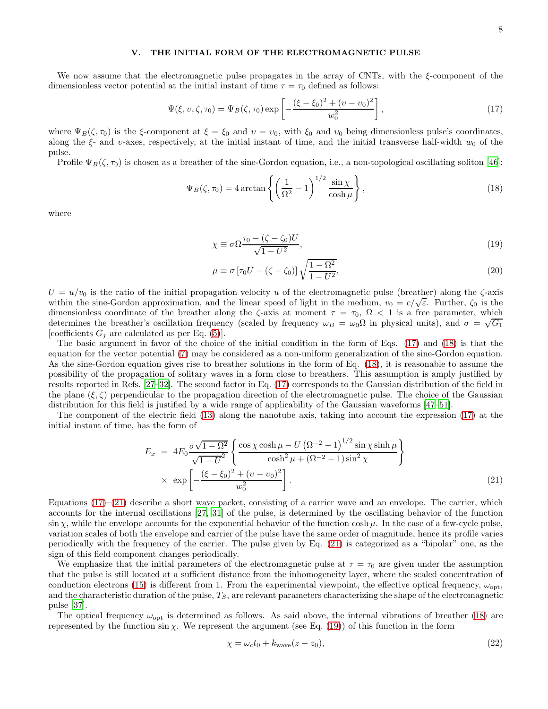# V. THE INITIAL FORM OF THE ELECTROMAGNETIC PULSE

We now assume that the electromagnetic pulse propagates in the array of CNTs, with the ξ-component of the dimensionless vector potential at the initial instant of time  $\tau = \tau_0$  defined as follows:

<span id="page-7-0"></span>
$$
\Psi(\xi, v, \zeta, \tau_0) = \Psi_B(\zeta, \tau_0) \exp\left[ -\frac{(\xi - \xi_0)^2 + (v - v_0)^2}{w_0^2} \right],\tag{17}
$$

where  $\Psi_B(\zeta, \tau_0)$  is the  $\xi$ -component at  $\xi = \xi_0$  and  $v = v_0$ , with  $\xi_0$  and  $v_0$  being dimensionless pulse's coordinates, along the  $\xi$ - and  $v$ -axes, respectively, at the initial instant of time, and the initial transverse half-width  $w_0$  of the pulse.

Profile  $\Psi_B(\zeta, \tau_0)$  is chosen as a breather of the sine-Gordon equation, i.e., a non-topological oscillating soliton [\[46\]](#page-15-2):

<span id="page-7-1"></span>
$$
\Psi_B(\zeta, \tau_0) = 4 \arctan\left\{ \left( \frac{1}{\Omega^2} - 1 \right)^{1/2} \frac{\sin \chi}{\cosh \mu} \right\},\tag{18}
$$

where

<span id="page-7-3"></span>
$$
\chi \equiv \sigma \Omega \frac{\tau_0 - (\zeta - \zeta_0)U}{\sqrt{1 - U^2}},\tag{19}
$$

<span id="page-7-4"></span>
$$
\mu \equiv \sigma \left[ \tau_0 U - (\zeta - \zeta_0) \right] \sqrt{\frac{1 - \Omega^2}{1 - U^2}},\tag{20}
$$

 $U = u/v_0$  is the ratio of the initial propagation velocity u of the electromagnetic pulse (breather) along the  $\zeta$ -axis within the sine-Gordon approximation, and the linear speed of light in the medium,  $v_0 = c/\sqrt{\epsilon}$ . Further,  $\zeta_0$  is the dimensionless coordinate of the breather along the  $\zeta$ -axis at moment  $\tau = \tau_0$ ,  $\Omega < 1$  is a free parameter, which determines the breather's oscillation frequency (scaled by frequency  $\omega_B = \omega_0 \Omega$  in physical units), and  $\sigma = \sqrt{G_1}$ [coefficients  $G_j$  are calculated as per Eq. [\(5\)](#page-4-3)].

The basic argument in favor of the choice of the initial condition in the form of Eqs. [\(17\)](#page-7-0) and [\(18\)](#page-7-1) is that the equation for the vector potential [\(7\)](#page-4-1) may be considered as a non-uniform generalization of the sine-Gordon equation. As the sine-Gordon equation gives rise to breather solutions in the form of Eq. [\(18\)](#page-7-1), it is reasonable to assume the possibility of the propagation of solitary waves in a form close to breathers. This assumption is amply justified by results reported in Refs. [\[27](#page-14-13)[–32\]](#page-14-16). The second factor in Eq. [\(17\)](#page-7-0) corresponds to the Gaussian distribution of the field in the plane  $(\xi, \zeta)$  perpendicular to the propagation direction of the electromagnetic pulse. The choice of the Gaussian distribution for this field is justified by a wide range of applicability of the Gaussian waveforms [\[47](#page-15-3)[–51](#page-15-4)].

The component of the electric field [\(13\)](#page-5-3) along the nanotube axis, taking into account the expression [\(17\)](#page-7-0) at the initial instant of time, has the form of

<span id="page-7-2"></span>
$$
E_x = 4E_0 \frac{\sigma \sqrt{1 - \Omega^2}}{\sqrt{1 - U^2}} \left\{ \frac{\cos \chi \cosh \mu - U \left( \Omega^{-2} - 1 \right)^{1/2} \sin \chi \sinh \mu}{\cosh^2 \mu + (\Omega^{-2} - 1) \sin^2 \chi} \right\}
$$
  
 
$$
\times \exp \left[ -\frac{(\xi - \xi_0)^2 + (v - v_0)^2}{w_0^2} \right].
$$
 (21)

Equations  $(17)$ – $(21)$  describe a short wave packet, consisting of a carrier wave and an envelope. The carrier, which accounts for the internal oscillations [\[27,](#page-14-13) [31](#page-14-15)] of the pulse, is determined by the oscillating behavior of the function sin  $\chi$ , while the envelope accounts for the exponential behavior of the function cosh  $\mu$ . In the case of a few-cycle pulse, variation scales of both the envelope and carrier of the pulse have the same order of magnitude, hence its profile varies periodically with the frequency of the carrier. The pulse given by Eq. [\(21\)](#page-7-2) is categorized as a "bipolar" one, as the sign of this field component changes periodically.

We emphasize that the initial parameters of the electromagnetic pulse at  $\tau = \tau_0$  are given under the assumption that the pulse is still located at a sufficient distance from the inhomogeneity layer, where the scaled concentration of conduction electrons [\(15\)](#page-6-1) is different from 1. From the experimental viewpoint, the effective optical frequency,  $\omega_{\text{opt}}$ , and the characteristic duration of the pulse,  $T<sub>S</sub>$ , are relevant parameters characterizing the shape of the electromagnetic pulse [\[37](#page-14-21)].

The optical frequency  $\omega_{\text{opt}}$  is determined as follows. As said above, the internal vibrations of breather [\(18\)](#page-7-1) are represented by the function sin  $\chi$ . We represent the argument (see Eq. [\(19\)](#page-7-3)) of this function in the form

$$
\chi = \omega_c t_0 + k_{\text{wave}} (z - z_0),\tag{22}
$$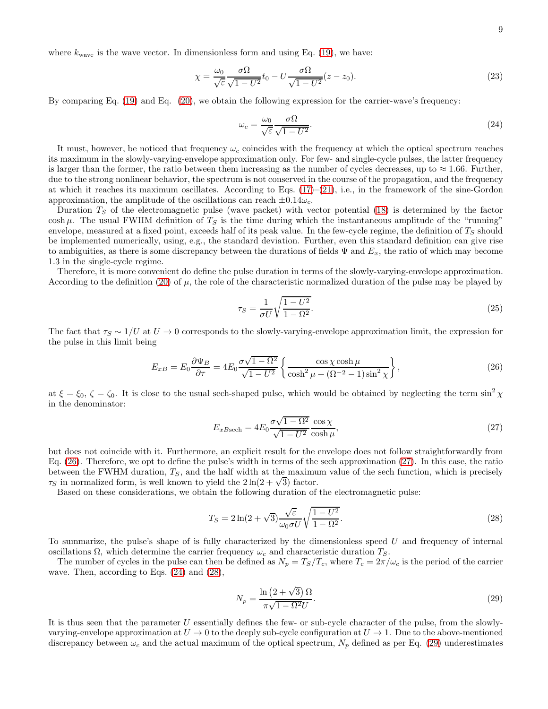where  $k_{\text{wave}}$  is the wave vector. In dimensionless form and using Eq. [\(19\)](#page-7-3), we have:

$$
\chi = \frac{\omega_0}{\sqrt{\varepsilon}} \frac{\sigma \Omega}{\sqrt{1 - U^2}} t_0 - U \frac{\sigma \Omega}{\sqrt{1 - U^2}} (z - z_0).
$$
\n(23)

By comparing Eq. [\(19\)](#page-7-3) and Eq. [\(20\)](#page-7-4), we obtain the following expression for the carrier-wave's frequency:

<span id="page-8-2"></span>
$$
\omega_c = \frac{\omega_0}{\sqrt{\varepsilon}} \frac{\sigma \Omega}{\sqrt{1 - U^2}}.\tag{24}
$$

It must, however, be noticed that frequency  $\omega_c$  coincides with the frequency at which the optical spectrum reaches its maximum in the slowly-varying-envelope approximation only. For few- and single-cycle pulses, the latter frequency is larger than the former, the ratio between them increasing as the number of cycles decreases, up to  $\approx 1.66$ . Further, due to the strong nonlinear behavior, the spectrum is not conserved in the course of the propagation, and the frequency at which it reaches its maximum oscillates. According to Eqs.  $(17)-(21)$  $(17)-(21)$ , i.e., in the framework of the sine-Gordon approximation, the amplitude of the oscillations can reach  $\pm 0.14\omega_c$ .

Duration  $T<sub>S</sub>$  of the electromagnetic pulse (wave packet) with vector potential [\(18\)](#page-7-1) is determined by the factor cosh  $\mu$ . The usual FWHM definition of  $T<sub>S</sub>$  is the time during which the instantaneous amplitude of the "running" envelope, measured at a fixed point, exceeds half of its peak value. In the few-cycle regime, the definition of  $T_S$  should be implemented numerically, using, e.g., the standard deviation. Further, even this standard definition can give rise to ambiguities, as there is some discrepancy between the durations of fields  $\Psi$  and  $E_x$ , the ratio of which may become 1.3 in the single-cycle regime.

Therefore, it is more convenient do define the pulse duration in terms of the slowly-varying-envelope approximation. According to the definition [\(20\)](#page-7-4) of  $\mu$ , the role of the characteristic normalized duration of the pulse may be played by

$$
\tau_S = \frac{1}{\sigma U} \sqrt{\frac{1 - U^2}{1 - \Omega^2}}.
$$
\n
$$
(25)
$$

The fact that  $\tau_S \sim 1/U$  at  $U \to 0$  corresponds to the slowly-varying-envelope approximation limit, the expression for the pulse in this limit being

<span id="page-8-0"></span>
$$
E_{xB} = E_0 \frac{\partial \Psi_B}{\partial \tau} = 4E_0 \frac{\sigma \sqrt{1 - \Omega^2}}{\sqrt{1 - U^2}} \left\{ \frac{\cos \chi \cosh \mu}{\cosh^2 \mu + (\Omega^{-2} - 1)\sin^2 \chi} \right\},\tag{26}
$$

at  $\xi = \xi_0$ ,  $\zeta = \zeta_0$ . It is close to the usual sech-shaped pulse, which would be obtained by neglecting the term sin<sup>2</sup>  $\chi$ in the denominator:

<span id="page-8-1"></span>
$$
E_{x\text{Bsech}} = 4E_0 \frac{\sigma \sqrt{1 - \Omega^2}}{\sqrt{1 - U^2}} \frac{\cos \chi}{\cosh \mu},\tag{27}
$$

but does not coincide with it. Furthermore, an explicit result for the envelope does not follow straightforwardly from Eq. [\(26\)](#page-8-0). Therefore, we opt to define the pulse's width in terms of the sech approximation [\(27\)](#page-8-1). In this case, the ratio between the FWHM duration,  $T<sub>S</sub>$ , and the half width at the maximum value of the sech function, which is precisely  $\tau_S$  in normalized form, is well known to yield the  $2\ln(2+\sqrt{3})$  factor.

Based on these considerations, we obtain the following duration of the electromagnetic pulse:

<span id="page-8-3"></span>
$$
T_S = 2\ln(2+\sqrt{3})\frac{\sqrt{\varepsilon}}{\omega_0 \sigma U} \sqrt{\frac{1-U^2}{1-\Omega^2}}.
$$
\n
$$
(28)
$$

To summarize, the pulse's shape of is fully characterized by the dimensionless speed  $U$  and frequency of internal oscillations  $\Omega$ , which determine the carrier frequency  $\omega_c$  and characteristic duration  $T_S$ .

The number of cycles in the pulse can then be defined as  $N_p = T_S/T_c$ , where  $T_c = 2\pi/\omega_c$  is the period of the carrier wave. Then, according to Eqs. [\(24\)](#page-8-2) and [\(28\)](#page-8-3),

<span id="page-8-4"></span>
$$
N_p = \frac{\ln\left(2 + \sqrt{3}\right)\Omega}{\pi\sqrt{1 - \Omega^2}U}.\tag{29}
$$

It is thus seen that the parameter U essentially defines the few- or sub-cycle character of the pulse, from the slowlyvarying-envelope approximation at  $U \to 0$  to the deeply sub-cycle configuration at  $U \to 1$ . Due to the above-mentioned discrepancy between  $\omega_c$  and the actual maximum of the optical spectrum,  $N_p$  defined as per Eq. [\(29\)](#page-8-4) underestimates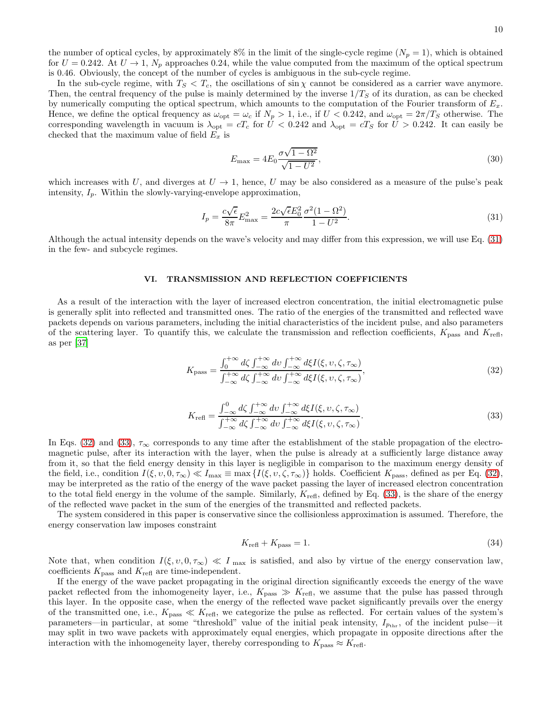the number of optical cycles, by approximately 8% in the limit of the single-cycle regime  $(N_p = 1)$ , which is obtained for  $U = 0.242$ . At  $U \rightarrow 1$ ,  $N_p$  approaches 0.24, while the value computed from the maximum of the optical spectrum is 0.46. Obviously, the concept of the number of cycles is ambiguous in the sub-cycle regime.

In the sub-cycle regime, with  $T_S < T_c$ , the oscillations of sin  $\chi$  cannot be considered as a carrier wave anymore. Then, the central frequency of the pulse is mainly determined by the inverse  $1/T_S$  of its duration, as can be checked by numerically computing the optical spectrum, which amounts to the computation of the Fourier transform of  $E_x$ . Hence, we define the optical frequency as  $\omega_{opt} = \omega_c$  if  $N_p > 1$ , i.e., if  $U < 0.242$ , and  $\omega_{opt} = 2\pi/T_s$  otherwise. The corresponding wavelength in vacuum is  $\lambda_{\text{opt}} = cT_c$  for  $\hat{U} < 0.242$  and  $\lambda_{\text{opt}} = cT_S$  for  $\hat{U} > 0.242$ . It can easily be checked that the maximum value of field  $E_x$  is

<span id="page-9-3"></span>
$$
E_{\text{max}} = 4E_0 \frac{\sigma \sqrt{1 - \Omega^2}}{\sqrt{1 - U^2}},
$$
\n(30)

which increases with U, and diverges at  $U \to 1$ , hence, U may be also considered as a measure of the pulse's peak intensity,  $I_p$ . Within the slowly-varying-envelope approximation,

<span id="page-9-0"></span>
$$
I_p = \frac{c\sqrt{\epsilon}}{8\pi} E_{\text{max}}^2 = \frac{2c\sqrt{\epsilon}E_0^2}{\pi} \frac{\sigma^2 (1 - \Omega^2)}{1 - U^2}.
$$
 (31)

Although the actual intensity depends on the wave's velocity and may differ from this expression, we will use Eq. [\(31\)](#page-9-0) in the few- and subcycle regimes.

### VI. TRANSMISSION AND REFLECTION COEFFICIENTS

As a result of the interaction with the layer of increased electron concentration, the initial electromagnetic pulse is generally split into reflected and transmitted ones. The ratio of the energies of the transmitted and reflected wave packets depends on various parameters, including the initial characteristics of the incident pulse, and also parameters of the scattering layer. To quantify this, we calculate the transmission and reflection coefficients,  $K_{\text{pass}}$  and  $K_{\text{refl}}$ , as per [\[37](#page-14-21)]

<span id="page-9-1"></span>
$$
K_{\text{pass}} = \frac{\int_0^{+\infty} d\zeta \int_{-\infty}^{+\infty} dv \int_{-\infty}^{+\infty} d\xi I(\xi, v, \zeta, \tau_{\infty})}{\int_{-\infty}^{+\infty} d\zeta \int_{-\infty}^{+\infty} dv \int_{-\infty}^{+\infty} d\xi I(\xi, v, \zeta, \tau_{\infty})},
$$
(32)

<span id="page-9-2"></span>
$$
K_{\text{refl}} = \frac{\int_{-\infty}^{0} d\zeta \int_{-\infty}^{+\infty} dv \int_{-\infty}^{+\infty} d\xi I(\xi, v, \zeta, \tau_{\infty})}{\int_{-\infty}^{+\infty} d\zeta \int_{-\infty}^{+\infty} dv \int_{-\infty}^{+\infty} d\xi I(\xi, v, \zeta, \tau_{\infty})}.
$$
(33)

In Eqs. [\(32\)](#page-9-1) and [\(33\)](#page-9-2),  $\tau_{\infty}$  corresponds to any time after the establishment of the stable propagation of the electromagnetic pulse, after its interaction with the layer, when the pulse is already at a sufficiently large distance away from it, so that the field energy density in this layer is negligible in comparison to the maximum energy density of the field, i.e., condition  $I(\xi, v, 0, \tau_{\infty}) \ll I_{\max} \equiv \max \{I(\xi, v, \zeta, \tau_{\infty})\}\$ holds. Coefficient  $K_{\text{pass}}$ , defined as per Eq. [\(32\)](#page-9-1), may be interpreted as the ratio of the energy of the wave packet passing the layer of increased electron concentration to the total field energy in the volume of the sample. Similarly,  $K_{\text{refl}}$ , defined by Eq. [\(33\)](#page-9-2), is the share of the energy of the reflected wave packet in the sum of the energies of the transmitted and reflected packets.

The system considered in this paper is conservative since the collisionless approximation is assumed. Therefore, the energy conservation law imposes constraint

$$
K_{\text{refl}} + K_{\text{pass}} = 1. \tag{34}
$$

Note that, when condition  $I(\xi, v, 0, \tau_{\infty}) \ll I_{\max}$  is satisfied, and also by virtue of the energy conservation law, coefficients  $K_{\mathrm{pass}}$  and  $K_{\mathrm{refl}}$  are time-independent.

If the energy of the wave packet propagating in the original direction significantly exceeds the energy of the wave packet reflected from the inhomogeneity layer, i.e.,  $K_{\text{pass}} \gg K_{\text{refl}}$ , we assume that the pulse has passed through this layer. In the opposite case, when the energy of the reflected wave packet significantly prevails over the energy of the transmitted one, i.e.,  $K_{\text{pass}} \ll K_{\text{refl}}$ , we categorize the pulse as reflected. For certain values of the system's parameters—in particular, at some "threshold" value of the initial peak intensity,  $I_{p_{thr}}$ , of the incident pulse—it may split in two wave packets with approximately equal energies, which propagate in opposite directions after the interaction with the inhomogeneity layer, thereby corresponding to  $K_{\text{pass}} \approx K_{\text{refl}}$ .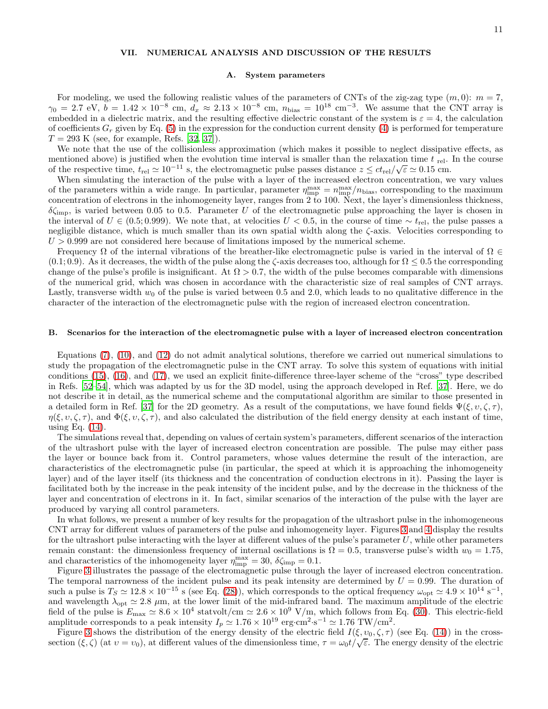# VII. NUMERICAL ANALYSIS AND DISCUSSION OF THE RESULTS

#### A. System parameters

For modeling, we used the following realistic values of the parameters of CNTs of the zig-zag type  $(m, 0)$ :  $m = 7$ ,  $\gamma_0 = 2.7 \text{ eV}, b = 1.42 \times 10^{-8} \text{ cm}, d_x \approx 2.13 \times 10^{-8} \text{ cm}, n_{\text{bias}} = 10^{18} \text{ cm}^{-3}$ . We assume that the CNT array is embedded in a dielectric matrix, and the resulting effective dielectric constant of the system is  $\varepsilon = 4$ , the calculation of coefficients  $G_r$  given by Eq. [\(5\)](#page-4-3) in the expression for the conduction current density [\(4\)](#page-4-0) is performed for temperature  $T = 293$  K (see, for example, Refs. [\[32](#page-14-16), [37](#page-14-21)]).

We note that the use of the collisionless approximation (which makes it possible to neglect dissipative effects, as mentioned above) is justified when the evolution time interval is smaller than the relaxation time  $t_{rel}$ . In the course of the respective time,  $t_{rel} \simeq 10^{-11}$  s, the electromagnetic pulse passes distance  $z \le ct_{rel}/\sqrt{\varepsilon} \simeq 0.15$  cm.

When simulating the interaction of the pulse with a layer of the increased electron concentration, we vary values of the parameters within a wide range. In particular, parameter  $\eta_{\rm imp}^{\rm max} = n_{\rm imp}^{\rm max}/n_{\rm bias}$ , corresponding to the maximum concentration of electrons in the inhomogeneity layer, ranges from 2 to 100. Next, the layer's dimensionless thickness,  $\delta \zeta_{\rm imp}$ , is varied between 0.05 to 0.5. Parameter U of the electromagnetic pulse approaching the layer is chosen in the interval of  $U \in (0.5; 0.999)$ . We note that, at velocities  $U < 0.5$ , in the course of time  $\sim t_{\text{rel}}$ , the pulse passes a negligible distance, which is much smaller than its own spatial width along the  $\zeta$ -axis. Velocities corresponding to  $U > 0.999$  are not considered here because of limitations imposed by the numerical scheme.

Frequency  $\Omega$  of the internal vibrations of the breather-like electromagnetic pulse is varied in the interval of  $\Omega \in$  $(0.1; 0.9)$ . As it decreases, the width of the pulse along the  $\zeta$ -axis decreases too, although for  $\Omega \leq 0.5$  the corresponding change of the pulse's profile is insignificant. At  $\Omega > 0.7$ , the width of the pulse becomes comparable with dimensions of the numerical grid, which was chosen in accordance with the characteristic size of real samples of CNT arrays. Lastly, transverse width  $w_0$  of the pulse is varied between 0.5 and 2.0, which leads to no qualitative difference in the character of the interaction of the electromagnetic pulse with the region of increased electron concentration.

#### B. Scenarios for the interaction of the electromagnetic pulse with a layer of increased electron concentration

Equations [\(7\)](#page-4-1), [\(10\)](#page-5-1), and [\(12\)](#page-5-2) do not admit analytical solutions, therefore we carried out numerical simulations to study the propagation of the electromagnetic pulse in the CNT array. To solve this system of equations with initial conditions [\(15\)](#page-6-1), [\(16\)](#page-6-2), and [\(17\)](#page-7-0), we used an explicit finite-difference three-layer scheme of the "cross" type described in Refs. [\[52](#page-15-5)[–54\]](#page-15-6), which was adapted by us for the 3D model, using the approach developed in Ref. [\[37](#page-14-21)]. Here, we do not describe it in detail, as the numerical scheme and the computational algorithm are similar to those presented in a detailed form in Ref. [\[37\]](#page-14-21) for the 2D geometry. As a result of the computations, we have found fields  $\Psi(\xi, v, \zeta, \tau)$ ,  $\eta(\xi, v, \zeta, \tau)$ , and  $\Phi(\xi, v, \zeta, \tau)$ , and also calculated the distribution of the field energy density at each instant of time, using Eq.  $(14)$ .

The simulations reveal that, depending on values of certain system's parameters, different scenarios of the interaction of the ultrashort pulse with the layer of increased electron concentration are possible. The pulse may either pass the layer or bounce back from it. Control parameters, whose values determine the result of the interaction, are characteristics of the electromagnetic pulse (in particular, the speed at which it is approaching the inhomogeneity layer) and of the layer itself (its thickness and the concentration of conduction electrons in it). Passing the layer is facilitated both by the increase in the peak intensity of the incident pulse, and by the decrease in the thickness of the layer and concentration of electrons in it. In fact, similar scenarios of the interaction of the pulse with the layer are produced by varying all control parameters.

In what follows, we present a number of key results for the propagation of the ultrashort pulse in the inhomogeneous CNT array for different values of parameters of the pulse and inhomogeneity layer. Figures [3](#page-11-0) and [4](#page-11-1) display the results for the ultrashort pulse interacting with the layer at different values of the pulse's parameter  $U$ , while other parameters remain constant: the dimensionless frequency of internal oscillations is  $\Omega = 0.5$ , transverse pulse's width  $w_0 = 1.75$ , and characteristics of the inhomogeneity layer  $\eta_{\rm imp}^{\rm max} = 30, \delta \zeta_{\rm imp} = 0.1$ .

Figure [3](#page-11-0) illustrates the passage of the electromagnetic pulse through the layer of increased electron concentration. The temporal narrowness of the incident pulse and its peak intensity are determined by  $U = 0.99$ . The duration of such a pulse is  $T_S \simeq 12.8 \times 10^{-15}$  s (see Eq. [\(28\)](#page-8-3)), which corresponds to the optical frequency  $\omega_{\text{opt}} \simeq 4.9 \times 10^{14} \text{ s}^{-1}$ , and wavelength  $\lambda_{\text{opt}} \simeq 2.8 \mu \text{m}$ , at the lower limit of the mid-infrared band. The maximum amplitude of the electric field of the pulse is  $E_{\text{max}} \simeq 8.6 \times 10^4$  statvolt/cm  $\simeq 2.6 \times 10^9$  V/m, which follows from Eq. [\(30\)](#page-9-3). This electric-field amplitude corresponds to a peak intensity  $I_p \simeq 1.76 \times 10^{19}$  erg·cm<sup>2</sup>·s<sup>-1</sup>  $\simeq 1.76$  TW/cm<sup>2</sup>.

Figure [3](#page-11-0) shows the distribution of the energy density of the electric field  $I(\xi, v_0, \zeta, \tau)$  (see Eq. [\(14\)](#page-5-4)) in the crosssection  $(\xi, \zeta)$  (at  $v = v_0$ ), at different values of the dimensionless time,  $\tau = \omega_0 t / \sqrt{\varepsilon}$ . The energy density of the electric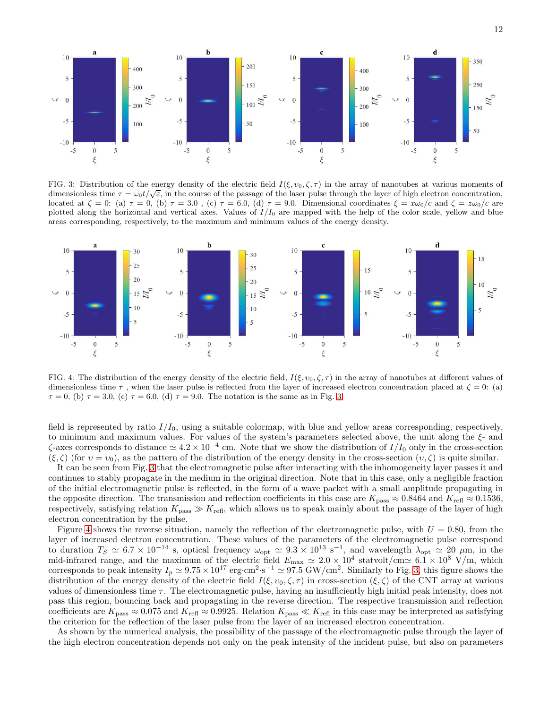

<span id="page-11-0"></span>FIG. 3: Distribution of the energy density of the electric field  $I(\xi, v_0, \zeta, \tau)$  in the array of nanotubes at various moments of dimensionless time  $\tau = \omega_0 t/\sqrt{\varepsilon}$ , in the course of the passage of the laser pulse through the layer of high electron concentration, located at  $\zeta = 0$ : (a)  $\tau = 0$ , (b)  $\tau = 3.0$ , (c)  $\tau = 6.0$ , (d)  $\tau = 9.0$ . Dimensional coordinates  $\xi = x\omega_0/c$  and  $\zeta = z\omega_0/c$  are plotted along the horizontal and vertical axes. Values of  $I/I_0$  are mapped with the help of the color scale, yellow and blue areas corresponding, respectively, to the maximum and minimum values of the energy density.



<span id="page-11-1"></span>FIG. 4: The distribution of the energy density of the electric field,  $I(\xi, v_0, \zeta, \tau)$  in the array of nanotubes at different values of dimensionless time  $\tau$ , when the laser pulse is reflected from the layer of increased electron concentration placed at  $\zeta = 0$ : (a)  $\tau = 0$ , (b)  $\tau = 3.0$  $\tau = 3.0$  $\tau = 3.0$ , (c)  $\tau = 6.0$ , (d)  $\tau = 9.0$ . The notation is the same as in Fig. 3.

field is represented by ratio  $I/I_0$ , using a suitable colormap, with blue and yellow areas corresponding, respectively, to minimum and maximum values. For values of the system's parameters selected above, the unit along the  $\xi$ - and  $\zeta$ -axes corresponds to distance  $\simeq 4.2 \times 10^{-4}$  cm. Note that we show the distribution of  $I/I_0$  only in the cross-section  $(\xi, \zeta)$  (for  $v = v_0$ ), as the pattern of the distribution of the energy density in the cross-section  $(v, \zeta)$  is quite similar.

It can be seen from Fig. [3](#page-11-0) that the electromagnetic pulse after interacting with the inhomogeneity layer passes it and continues to stably propagate in the medium in the original direction. Note that in this case, only a negligible fraction of the initial electromagnetic pulse is reflected, in the form of a wave packet with a small amplitude propagating in the opposite direction. The transmission and reflection coefficients in this case are  $K_{\text{pass}} \approx 0.8464$  and  $K_{\text{refl}} \approx 0.1536$ , respectively, satisfying relation  $K_{\text{pass}} \gg K_{\text{refl}}$ , which allows us to speak mainly about the passage of the layer of high electron concentration by the pulse.

Figure [4](#page-11-1) shows the reverse situation, namely the reflection of the electromagnetic pulse, with  $U = 0.80$ , from the layer of increased electron concentration. These values of the parameters of the electromagnetic pulse correspond to duration  $T_S \simeq 6.7 \times 10^{-14}$  s, optical frequency  $\omega_{\text{opt}} \simeq 9.3 \times 10^{13} \text{ s}^{-1}$ , and wavelength  $\lambda_{\text{opt}} \simeq 20 \mu \text{m}$ , in the mid-infrared range, and the maximum of the electric field  $E_{\text{max}} \approx 2.0 \times 10^4$  statvolt/cm $\simeq 6.1 \times 10^8$  V/m, which corresponds to peak intensity  $I_p \simeq 9.75 \times 10^{17} \text{ erg} \cdot \text{sr}^2 \cdot \text{s}^{-1} \simeq 97.5 \text{ GW/cm}^2$ . Similarly to Fig. [3,](#page-11-0) this figure shows the distribution of the energy density of the electric field  $I(\xi, v_0, \zeta, \tau)$  in cross-section  $(\xi, \zeta)$  of the CNT array at various values of dimensionless time  $\tau$ . The electromagnetic pulse, having an insufficiently high initial peak intensity, does not pass this region, bouncing back and propagating in the reverse direction. The respective transmission and reflection coefficients are  $K_{\text{pass}} \approx 0.075$  and  $K_{\text{refl}} \approx 0.9925$ . Relation  $K_{\text{pass}} \ll K_{\text{refl}}$  in this case may be interpreted as satisfying the criterion for the reflection of the laser pulse from the layer of an increased electron concentration.

As shown by the numerical analysis, the possibility of the passage of the electromagnetic pulse through the layer of the high electron concentration depends not only on the peak intensity of the incident pulse, but also on parameters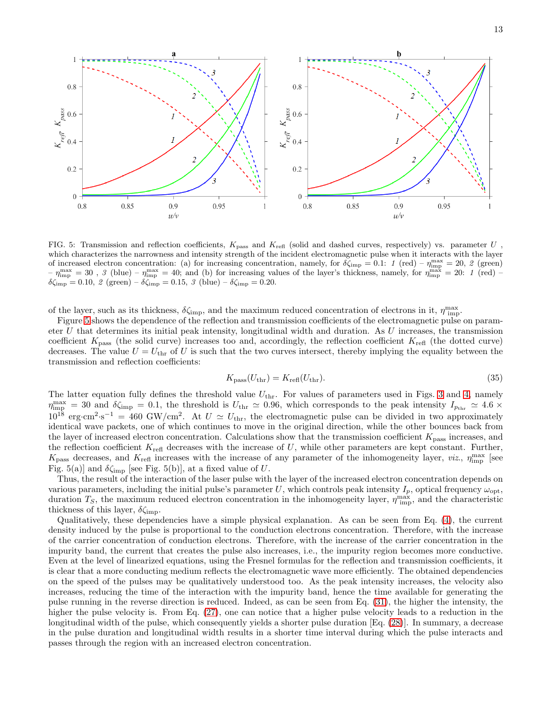

<span id="page-12-0"></span>FIG. 5: Transmission and reflection coefficients,  $K_{\text{pass}}$  and  $K_{\text{refl}}$  (solid and dashed curves, respectively) vs. parameter U, which characterizes the narrowness and intensity strength of the incident electromagnetic pulse when it interacts with the layer of increased electron concentration: (a) for increasing concentration, namely, for  $\delta \zeta_{\rm imp} = 0.1$ : 1 (red) –  $\eta_{\rm imp}^{\rm max} = 20$ , 2 (green)  $-\eta_{\text{imp}}^{\text{max}} = 30$ , 3 (blue)  $-\eta_{\text{imp}}^{\text{max}} = 40$ ; and (b) for increasing values of the layer's thickness, namely, for  $\eta_{\text{imp}}^{\text{max}} = 20$ : 1 (red)  $-\eta_{\text{imp}}^{\text{max}} = 10$  $\delta \zeta_{\rm imp} = 0.10, \ \text{\LARGE{2}} \text{ (green)} - \delta \zeta_{\rm imp} = 0.15, \ \text{\LARGE{3}} \text{ (blue)} - \delta \zeta_{\rm imp} = 0.20.$ 

of the layer, such as its thickness,  $\delta \zeta_{\rm imp}$ , and the maximum reduced concentration of electrons in it,  $\eta_{\rm imp}^{\rm max}$ .

Figure [5](#page-12-0) shows the dependence of the reflection and transmission coefficients of the electromagnetic pulse on parameter  $U$  that determines its initial peak intensity, longitudinal width and duration. As  $U$  increases, the transmission coefficient  $K_{\text{pass}}$  (the solid curve) increases too and, accordingly, the reflection coefficient  $K_{\text{refl}}$  (the dotted curve) decreases. The value  $U = U_{\text{thr}}$  of U is such that the two curves intersect, thereby implying the equality between the transmission and reflection coefficients:

$$
K_{\text{pass}}(U_{\text{thr}}) = K_{\text{refl}}(U_{\text{thr}}). \tag{35}
$$

The latter equation fully defines the threshold value  $U_{\text{thr}}$ . For values of parameters used in Figs. [3](#page-11-0) and [4,](#page-11-1) namely  $\eta_{\text{imp}}^{\text{max}} = 30$  and  $\delta \zeta_{\text{imp}} = 0.1$ , the threshold is  $U_{\text{thr}} \simeq 0.96$ , which corresponds to the peak intensity  $I_{p_{\text{thr}}} \simeq 4.6 \times$  $10^{18} \text{ erg} \cdot \text{cm}^2 \cdot \text{s}^{-1} = 460 \text{ GW/cm}^2$ . At  $U \simeq U_{\text{thr}}$ , the electromagnetic pulse can be divided in two approximately identical wave packets, one of which continues to move in the original direction, while the other bounces back from the layer of increased electron concentration. Calculations show that the transmission coefficient  $K_{\text{pass}}$  increases, and the reflection coefficient  $K_{\text{refl}}$  decreases with the increase of U, while other parameters are kept constant. Further,  $K_{\text{pass}}$  decreases, and  $K_{\text{refl}}$  increases with the increase of any parameter of the inhomogeneity layer, viz.,  $\eta_{\text{imp}}^{\text{max}}$  [see Fig. 5(a)] and  $\delta \zeta_{\text{imp}}$  [see Fig. 5(b)], at a fixed value of U.

Thus, the result of the interaction of the laser pulse with the layer of the increased electron concentration depends on various parameters, including the initial pulse's parameter U, which controls peak intensity  $I_p$ , optical frequency  $\omega_{\text{opt}}$ , duration  $T_S$ , the maximum reduced electron concentration in the inhomogeneity layer,  $\eta_{\text{imp}}^{\text{max}}$ , and the characteristic thickness of this layer,  $\delta \zeta_{\rm imp}$ .

Qualitatively, these dependencies have a simple physical explanation. As can be seen from Eq. [\(4\)](#page-4-0), the current density induced by the pulse is proportional to the conduction electrons concentration. Therefore, with the increase of the carrier concentration of conduction electrons. Therefore, with the increase of the carrier concentration in the impurity band, the current that creates the pulse also increases, i.e., the impurity region becomes more conductive. Even at the level of linearized equations, using the Fresnel formulas for the reflection and transmission coefficients, it is clear that a more conducting medium reflects the electromagnetic wave more efficiently. The obtained dependencies on the speed of the pulses may be qualitatively understood too. As the peak intensity increases, the velocity also increases, reducing the time of the interaction with the impurity band, hence the time available for generating the pulse running in the reverse direction is reduced. Indeed, as can be seen from Eq. [\(31\)](#page-9-0), the higher the intensity, the higher the pulse velocity is. From Eq.  $(27)$ , one can notice that a higher pulse velocity leads to a reduction in the longitudinal width of the pulse, which consequently yields a shorter pulse duration [Eq. [\(28\)](#page-8-3)]. In summary, a decrease in the pulse duration and longitudinal width results in a shorter time interval during which the pulse interacts and passes through the region with an increased electron concentration.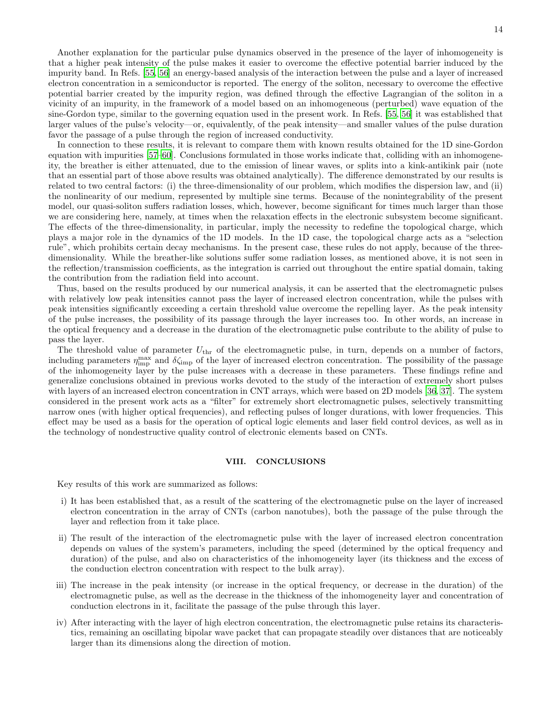Another explanation for the particular pulse dynamics observed in the presence of the layer of inhomogeneity is that a higher peak intensity of the pulse makes it easier to overcome the effective potential barrier induced by the impurity band. In Refs. [\[55,](#page-15-7) [56](#page-15-8)] an energy-based analysis of the interaction between the pulse and a layer of increased electron concentration in a semiconductor is reported. The energy of the soliton, necessary to overcome the effective potential barrier created by the impurity region, was defined through the effective Lagrangian of the soliton in a vicinity of an impurity, in the framework of a model based on an inhomogeneous (perturbed) wave equation of the sine-Gordon type, similar to the governing equation used in the present work. In Refs. [\[55](#page-15-7), [56\]](#page-15-8) it was established that larger values of the pulse's velocity—or, equivalently, of the peak intensity—and smaller values of the pulse duration favor the passage of a pulse through the region of increased conductivity.

In connection to these results, it is relevant to compare them with known results obtained for the 1D sine-Gordon equation with impurities [\[57](#page-15-9)[–60](#page-15-10)]. Conclusions formulated in those works indicate that, colliding with an inhomogeneity, the breather is either attenuated, due to the emission of linear waves, or splits into a kink-antikink pair (note that an essential part of those above results was obtained analytically). The difference demonstrated by our results is related to two central factors: (i) the three-dimensionality of our problem, which modifies the dispersion law, and (ii) the nonlinearity of our medium, represented by multiple sine terms. Because of the nonintegrability of the present model, our quasi-soliton suffers radiation losses, which, however, become significant for times much larger than those we are considering here, namely, at times when the relaxation effects in the electronic subsystem become significant. The effects of the three-dimensionality, in particular, imply the necessity to redefine the topological charge, which plays a major role in the dynamics of the 1D models. In the 1D case, the topological charge acts as a "selection rule", which prohibits certain decay mechanisms. In the present case, these rules do not apply, because of the threedimensionality. While the breather-like solutions suffer some radiation losses, as mentioned above, it is not seen in the reflection/transmission coefficients, as the integration is carried out throughout the entire spatial domain, taking the contribution from the radiation field into account.

Thus, based on the results produced by our numerical analysis, it can be asserted that the electromagnetic pulses with relatively low peak intensities cannot pass the layer of increased electron concentration, while the pulses with peak intensities significantly exceeding a certain threshold value overcome the repelling layer. As the peak intensity of the pulse increases, the possibility of its passage through the layer increases too. In other words, an increase in the optical frequency and a decrease in the duration of the electromagnetic pulse contribute to the ability of pulse to pass the layer.

The threshold value of parameter  $U_{\text{thr}}$  of the electromagnetic pulse, in turn, depends on a number of factors, including parameters  $\eta_{\rm imp}^{\rm max}$  and  $\delta \zeta_{\rm imp}$  of the layer of increased electron concentration. The possibility of the passage of the inhomogeneity layer by the pulse increases with a decrease in these parameters. These findings refine and generalize conclusions obtained in previous works devoted to the study of the interaction of extremely short pulses with layers of an increased electron concentration in CNT arrays, which were based on 2D models [\[36,](#page-14-20) [37\]](#page-14-21). The system considered in the present work acts as a "filter" for extremely short electromagnetic pulses, selectively transmitting narrow ones (with higher optical frequencies), and reflecting pulses of longer durations, with lower frequencies. This effect may be used as a basis for the operation of optical logic elements and laser field control devices, as well as in the technology of nondestructive quality control of electronic elements based on CNTs.

# VIII. CONCLUSIONS

Key results of this work are summarized as follows:

- i) It has been established that, as a result of the scattering of the electromagnetic pulse on the layer of increased electron concentration in the array of CNTs (carbon nanotubes), both the passage of the pulse through the layer and reflection from it take place.
- ii) The result of the interaction of the electromagnetic pulse with the layer of increased electron concentration depends on values of the system's parameters, including the speed (determined by the optical frequency and duration) of the pulse, and also on characteristics of the inhomogeneity layer (its thickness and the excess of the conduction electron concentration with respect to the bulk array).
- iii) The increase in the peak intensity (or increase in the optical frequency, or decrease in the duration) of the electromagnetic pulse, as well as the decrease in the thickness of the inhomogeneity layer and concentration of conduction electrons in it, facilitate the passage of the pulse through this layer.
- iv) After interacting with the layer of high electron concentration, the electromagnetic pulse retains its characteristics, remaining an oscillating bipolar wave packet that can propagate steadily over distances that are noticeably larger than its dimensions along the direction of motion.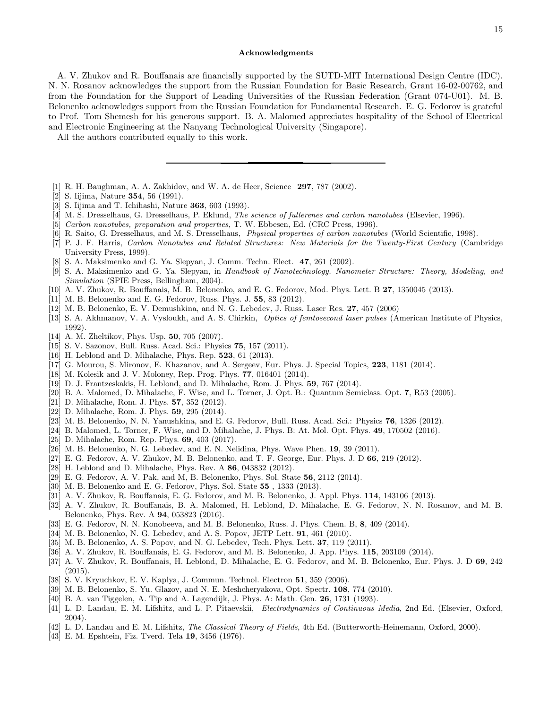#### Acknowledgments

A. V. Zhukov and R. Bouffanais are financially supported by the SUTD-MIT International Design Centre (IDC). N. N. Rosanov acknowledges the support from the Russian Foundation for Basic Research, Grant 16-02-00762, and from the Foundation for the Support of Leading Universities of the Russian Federation (Grant 074-U01). M. B. Belonenko acknowledges support from the Russian Foundation for Fundamental Research. E. G. Fedorov is grateful to Prof. Tom Shemesh for his generous support. B. A. Malomed appreciates hospitality of the School of Electrical and Electronic Engineering at the Nanyang Technological University (Singapore).

All the authors contributed equally to this work.

- <span id="page-14-0"></span>[1] R. H. Baughman, A. A. Zakhidov, and W. A. de Heer, Science 297, 787 (2002).
- <span id="page-14-1"></span>[2] S. Iijima, Nature 354, 56 (1991).
- <span id="page-14-2"></span>[3] S. Iijima and T. Ichihashi, Nature 363, 603 (1993).
- <span id="page-14-3"></span>[4] M. S. Dresselhaus, G. Dresselhaus, P. Eklund, The science of fullerenes and carbon nanotubes (Elsevier, 1996).
- [5] Carbon nanotubes, preparation and properties, T. W. Ebbesen, Ed. (CRC Press, 1996).
- [6] R. Saito, G. Dresselhaus, and M. S. Dresselhaus, Physical properties of carbon nanotubes (World Scientific, 1998).
- <span id="page-14-23"></span>[7] P. J. F. Harris, Carbon Nanotubes and Related Structures: New Materials for the Twenty-First Century (Cambridge University Press, 1999).
- [8] S. A. Maksimenko and G. Ya. Slepyan, J. Comm. Techn. Elect. 47, 261 (2002).
- <span id="page-14-4"></span>[9] S. A. Maksimenko and G. Ya. Slepyan, in Handbook of Nanotechnology. Nanometer Structure: Theory, Modeling, and Simulation (SPIE Press, Bellingham, 2004).
- <span id="page-14-5"></span>[10] A. V. Zhukov, R. Bouffanais, M. B. Belonenko, and E. G. Fedorov, Mod. Phys. Lett. B 27, 1350045 (2013).
- <span id="page-14-6"></span>[11] M. B. Belonenko and E. G. Fedorov, Russ. Phys. J. 55, 83 (2012).
- <span id="page-14-7"></span>[12] M. B. Belonenko, E. V. Demushkina, and N. G. Lebedev, J. Russ. Laser Res. 27, 457 (2006)
- <span id="page-14-8"></span>[13] S. A. Akhmanov, V. A. Vysloukh, and A. S. Chirkin, *Optics of femtosecond laser pulses* (American Institute of Physics, 1992).
- <span id="page-14-9"></span>[14] A. M. Zheltikov, Phys. Usp. **50**, 705 (2007).
- <span id="page-14-10"></span>[15] S. V. Sazonov, Bull. Russ. Acad. Sci.: Physics 75, 157 (2011).
- [16] H. Leblond and D. Mihalache, Phys. Rep. **523**, 61 (2013).
- [17] G. Mourou, S. Mironov, E. Khazanov, and A. Sergeev, Eur. Phys. J. Special Topics, 223, 1181 (2014).
- [18] M. Kolesik and J. V. Moloney, Rep. Prog. Phys. **77**, 016401 (2014).
- [19] D. J. Frantzeskakis, H. Leblond, and D. Mihalache, Rom. J. Phys. 59, 767 (2014).
- [20] B. A. Malomed, D. Mihalache, F. Wise, and L. Torner, J. Opt. B.: Quantum Semiclass. Opt. 7, R53 (2005).
- [21] D. Mihalache, Rom. J. Phys. **57**, 352 (2012).
- [22] D. Mihalache, Rom. J. Phys. 59, 295 (2014).
- [23] M. B. Belonenko, N. N. Yanushkina, and E. G. Fedorov, Bull. Russ. Acad. Sci.: Physics 76, 1326 (2012).
- [24] B. Malomed, L. Torner, F. Wise, and D. Mihalache, J. Phys. B: At. Mol. Opt. Phys. 49, 170502 (2016).
- <span id="page-14-11"></span>[25] D. Mihalache, Rom. Rep. Phys. 69, 403 (2017).
- <span id="page-14-12"></span>[26] M. B. Belonenko, N. G. Lebedev, and E. N. Nelidina, Phys. Wave Phen. 19, 39 (2011).
- <span id="page-14-13"></span>[27] E. G. Fedorov, A. V. Zhukov, M. B. Belonenko, and T. F. George, Eur. Phys. J. D  $66$ , 219 (2012).
- [28] H. Leblond and D. Mihalache, Phys. Rev. A 86, 043832 (2012).
- <span id="page-14-28"></span>[29] E. G. Fedorov, A. V. Pak, and M, B. Belonenko, Phys. Sol. State 56, 2112 (2014).
- <span id="page-14-14"></span>[30] M. B. Belonenko and E. G. Fedorov, Phys. Sol. State 55 , 1333 (2013).
- <span id="page-14-15"></span>[31] A. V. Zhukov, R. Bouffanais, E. G. Fedorov, and M. B. Belonenko, J. Appl. Phys. 114, 143106 (2013).
- <span id="page-14-16"></span>[32] A. V. Zhukov, R. Bouffanais, B. A. Malomed, H. Leblond, D. Mihalache, E. G. Fedorov, N. N. Rosanov, and M. B. Belonenko, Phys. Rev. A 94, 053823 (2016).
- <span id="page-14-17"></span>[33] E. G. Fedorov, N. N. Konobeeva, and M. B. Belonenko, Russ. J. Phys. Chem. B, 8, 409 (2014).
- <span id="page-14-18"></span>[34] M. B. Belonenko, N. G. Lebedev, and A. S. Popov, JETP Lett. 91, 461 (2010).
- <span id="page-14-19"></span>[35] M. B. Belonenko, A. S. Popov, and N. G. Lebedev, Tech. Phys. Lett. 37, 119 (2011).
- <span id="page-14-20"></span>[36] A. V. Zhukov, R. Bouffanais, E. G. Fedorov, and M. B. Belonenko, J. App. Phys. 115, 203109 (2014).
- <span id="page-14-21"></span>[37] A. V. Zhukov, R. Bouffanais, H. Leblond, D. Mihalache, E. G. Fedorov, and M. B. Belonenko, Eur. Phys. J. D 69, 242 (2015).
- <span id="page-14-22"></span>[38] S. V. Kryuchkov, E. V. Kaplya, J. Commun. Technol. Electron 51, 359 (2006).
- <span id="page-14-24"></span>[39] M. B. Belonenko, S. Yu. Glazov, and N. E. Meshcheryakova, Opt. Spectr. 108, 774 (2010).
- <span id="page-14-25"></span>[40] B. A. van Tiggelen, A. Tip and A. Lagendijk, J. Phys. A: Math. Gen. 26, 1731 (1993).
- <span id="page-14-26"></span>[41] L. D. Landau, E. M. Lifshitz, and L. P. Pitaevskii, Electrodynamics of Continuous Media, 2nd Ed. (Elsevier, Oxford, 2004).
- <span id="page-14-27"></span>[42] L. D. Landau and E. M. Lifshitz, The Classical Theory of Fields, 4th Ed. (Butterworth-Heinemann, Oxford, 2000).
- <span id="page-14-29"></span>[43] E. M. Epshtein, Fiz. Tverd. Tela 19, 3456 (1976).